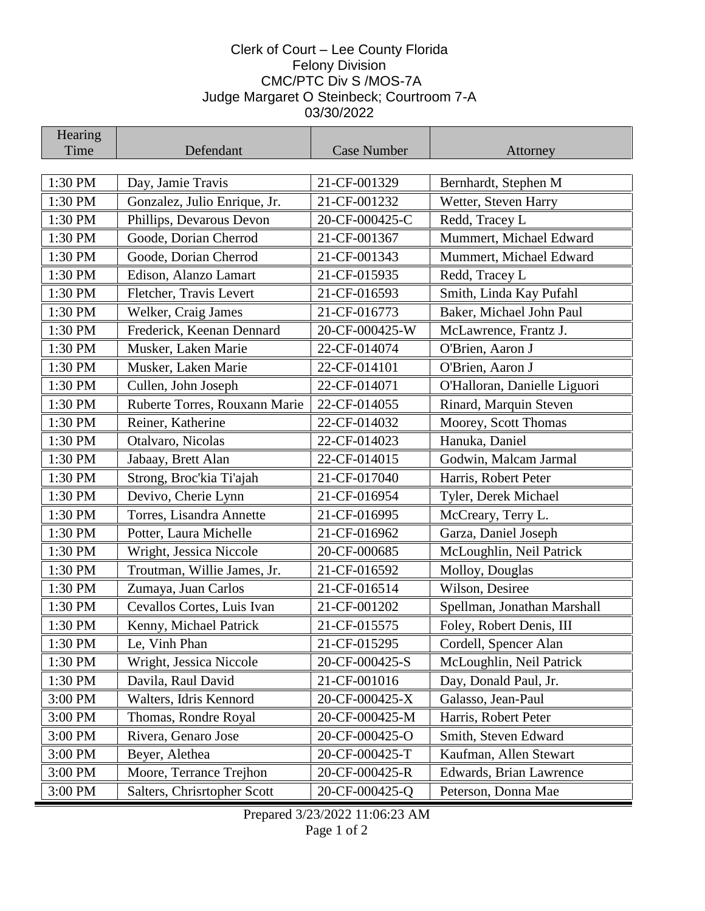## Clerk of Court – Lee County Florida Felony Division CMC/PTC Div S /MOS-7A Judge Margaret O Steinbeck; Courtroom 7-A 03/30/2022

| Hearing |                               |                |                                           |
|---------|-------------------------------|----------------|-------------------------------------------|
| Time    | Defendant                     | Case Number    | Attorney                                  |
| 1:30 PM | Day, Jamie Travis             | 21-CF-001329   | Bernhardt, Stephen M                      |
| 1:30 PM | Gonzalez, Julio Enrique, Jr.  | 21-CF-001232   | Wetter, Steven Harry                      |
| 1:30 PM | Phillips, Devarous Devon      | 20-CF-000425-C | Redd, Tracey L                            |
| 1:30 PM | Goode, Dorian Cherrod         | 21-CF-001367   | Mummert, Michael Edward                   |
| 1:30 PM | Goode, Dorian Cherrod         | 21-CF-001343   |                                           |
| 1:30 PM | Edison, Alanzo Lamart         | 21-CF-015935   | Mummert, Michael Edward<br>Redd, Tracey L |
| 1:30 PM |                               | 21-CF-016593   |                                           |
| 1:30 PM | Fletcher, Travis Levert       | 21-CF-016773   | Smith, Linda Kay Pufahl                   |
|         | Welker, Craig James           |                | Baker, Michael John Paul                  |
| 1:30 PM | Frederick, Keenan Dennard     | 20-CF-000425-W | McLawrence, Frantz J.                     |
| 1:30 PM | Musker, Laken Marie           | 22-CF-014074   | O'Brien, Aaron J                          |
| 1:30 PM | Musker, Laken Marie           | 22-CF-014101   | O'Brien, Aaron J                          |
| 1:30 PM | Cullen, John Joseph           | 22-CF-014071   | O'Halloran, Danielle Liguori              |
| 1:30 PM | Ruberte Torres, Rouxann Marie | 22-CF-014055   | Rinard, Marquin Steven                    |
| 1:30 PM | Reiner, Katherine             | 22-CF-014032   | Moorey, Scott Thomas                      |
| 1:30 PM | Otalvaro, Nicolas             | 22-CF-014023   | Hanuka, Daniel                            |
| 1:30 PM | Jabaay, Brett Alan            | 22-CF-014015   | Godwin, Malcam Jarmal                     |
| 1:30 PM | Strong, Broc'kia Ti'ajah      | 21-CF-017040   | Harris, Robert Peter                      |
| 1:30 PM | Devivo, Cherie Lynn           | 21-CF-016954   | Tyler, Derek Michael                      |
| 1:30 PM | Torres, Lisandra Annette      | 21-CF-016995   | McCreary, Terry L.                        |
| 1:30 PM | Potter, Laura Michelle        | 21-CF-016962   | Garza, Daniel Joseph                      |
| 1:30 PM | Wright, Jessica Niccole       | 20-CF-000685   | McLoughlin, Neil Patrick                  |
| 1:30 PM | Troutman, Willie James, Jr.   | 21-CF-016592   | Molloy, Douglas                           |
| 1:30 PM | Zumaya, Juan Carlos           | 21-CF-016514   | Wilson, Desiree                           |
| 1:30 PM | Cevallos Cortes, Luis Ivan    | 21-CF-001202   | Spellman, Jonathan Marshall               |
| 1:30 PM | Kenny, Michael Patrick        | 21-CF-015575   | Foley, Robert Denis, III                  |
| 1:30 PM | Le, Vinh Phan                 | 21-CF-015295   | Cordell, Spencer Alan                     |
| 1:30 PM | Wright, Jessica Niccole       | 20-CF-000425-S | McLoughlin, Neil Patrick                  |
| 1:30 PM | Davila, Raul David            | 21-CF-001016   | Day, Donald Paul, Jr.                     |
| 3:00 PM | Walters, Idris Kennord        | 20-CF-000425-X | Galasso, Jean-Paul                        |
| 3:00 PM | Thomas, Rondre Royal          | 20-CF-000425-M | Harris, Robert Peter                      |
| 3:00 PM | Rivera, Genaro Jose           | 20-CF-000425-O | Smith, Steven Edward                      |
| 3:00 PM | Beyer, Alethea                | 20-CF-000425-T | Kaufman, Allen Stewart                    |
| 3:00 PM | Moore, Terrance Trejhon       | 20-CF-000425-R | Edwards, Brian Lawrence                   |
| 3:00 PM | Salters, Chrisrtopher Scott   | 20-CF-000425-Q | Peterson, Donna Mae                       |